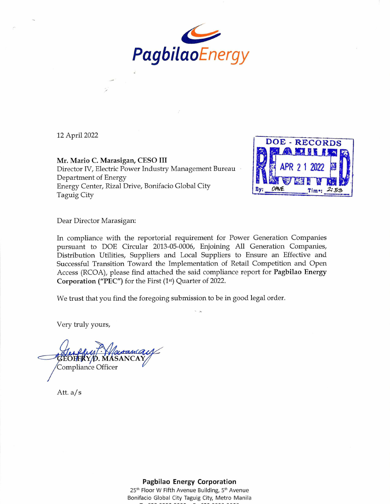

12 April 2022

Mr. Mario C. Marasigan, CESO III Director IV, Electric Power Industry Management Bureau Department of Energy Energy Center, Rizal Drive, Bonifacio Global City Taguig City



Dear Director Marasigan:

In compliance with the reportorial requirement for Power Generation Companies pursuant to DOE Circular 2013-05-0006, Enjoining All Generation Companies, Distribution Utilities, Suppliers and Local Suppliers to Ensure an Effective and Successful Transition Toward the Implementation of Retail Competition and Open Access (RCOA), please find attached the said compliance report for Pagbilao Energy Corporation ("PEC") for the First (1st) Quarter of 2022.

We trust that you find the foregoing submission to be in good legal order.

Very truly yours,



Att. a/s

**Pagbilao Energy Corporation** 

25<sup>th</sup> Floor W Fifth Avenue Building, 5<sup>th</sup> Avenue Bonifacio Global City Taguig City, Metro Manila